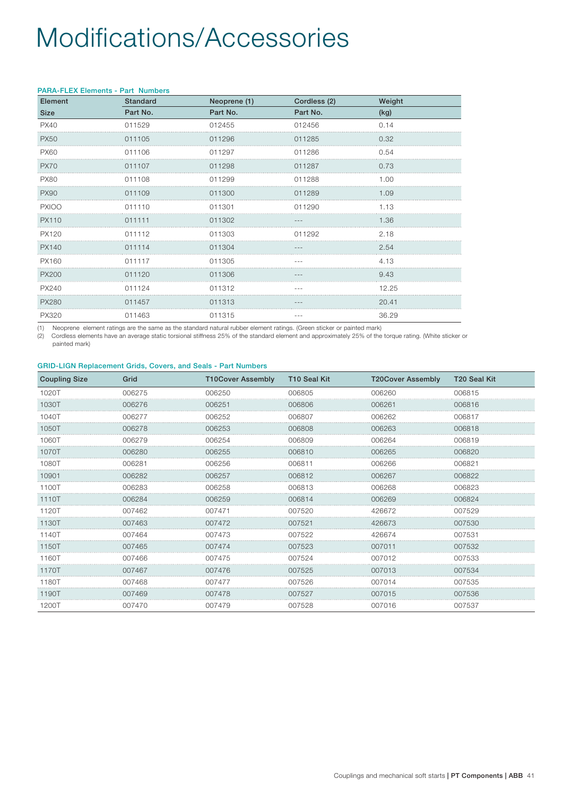## Modifications/Accessories

| Element      | <b>Standard</b> | Neoprene (1) | Cordless (2) | Weight |
|--------------|-----------------|--------------|--------------|--------|
| <b>Size</b>  | Part No.        | Part No.     | Part No.     | (kg)   |
| <b>PX40</b>  | 011529          | 012455       | 012456       | 0.14   |
| <b>PX50</b>  | 011105          | 011296       | 011285       | 0.32   |
| <b>PX60</b>  | 011106          | 011297       | 011286       | 0.54   |
| <b>PX70</b>  | 011107          | 011298       | 011287       | 0.73   |
| <b>PX80</b>  | 011108          | 011299       | 011288       | 1.00   |
| <b>PX90</b>  | 011109          | 011300       | 011289       | 1.09   |
| <b>PXIOO</b> | 011110          | 011301       | 011290       | 1.13   |
| PX110        | 011111          | 011302       |              | 1.36   |
| PX120        | 011112          | 011303       | 011292       | 2.18   |
| PX140        | 011114          | 011304       |              | 2.54   |
| PX160        | 011117          | 011305       |              | 4.13   |
| <b>PX200</b> | 011120          | 011306       |              | 9.43   |
| PX240        | 011124          | 011312       |              | 12.25  |
| PX280        | 011457          | 011313       |              | 20.41  |
| <b>PX320</b> | 011463          | 011315       |              | 36.29  |

(1) Neoprene element ratings are the same as the standard natural rubber element ratings. (Green sticker or painted mark)

(2) Cordless elements have an average static torsional stiffness 25% of the standard element and approximately 25% of the torque rating. (White sticker or painted mark)

#### GRID-LIGN Replacement Grids, Covers, and Seals - Part Numbers

| <b>Coupling Size</b> | Grid   | <b>T10Cover Assembly</b> | T10 Seal Kit | <b>T20Cover Assembly</b> | T20 Seal Kit |
|----------------------|--------|--------------------------|--------------|--------------------------|--------------|
| 1020T                | 006275 | 006250                   | 006805       | 006260                   | 006815       |
| 1030T                | 006276 | 006251                   | 006806       | 006261                   | 006816       |
| 1040T                | 006277 | 006252                   | 006807       | 006262                   | 006817       |
| 1050T                | 006278 | 006253                   | 006808       | 006263                   | 006818       |
| 1060T                | 006279 | 006254                   | 006809       | 006264                   | 006819       |
| 1070T                | 006280 | 006255                   | 006810       | 006265                   | 006820       |
| 1080T                | 006281 | 006256                   | 006811       | 006266                   | 006821       |
| 10901                | 006282 | 006257                   | 006812       | 006267                   | 006822       |
| 1100T                | 006283 | 006258                   | 006813       | 006268                   | 006823       |
| 1110T                | 006284 | 006259                   | 006814       | 006269                   | 006824       |
| 1120T                | 007462 | 007471                   | 007520       | 426672                   | 007529       |
| 1130T                | 007463 | 007472                   | 007521       | 426673                   | 007530       |
| 1140T                | 007464 | 007473                   | 007522       | 426674                   | 007531       |
| 1150T                | 007465 | 007474                   | 007523       | 007011                   | 007532       |
| 1160T                | 007466 | 007475                   | 007524       | 007012                   | 007533       |
| 1170T                | 007467 | 007476                   | 007525       | 007013                   | 007534       |
| 1180T                | 007468 | 007477                   | 007526       | 007014                   | 007535       |
| 1190T                | 007469 | 007478                   | 007527       | 007015                   | 007536       |
| 1200T                | 007470 | 007479                   | 007528       | 007016                   | 007537       |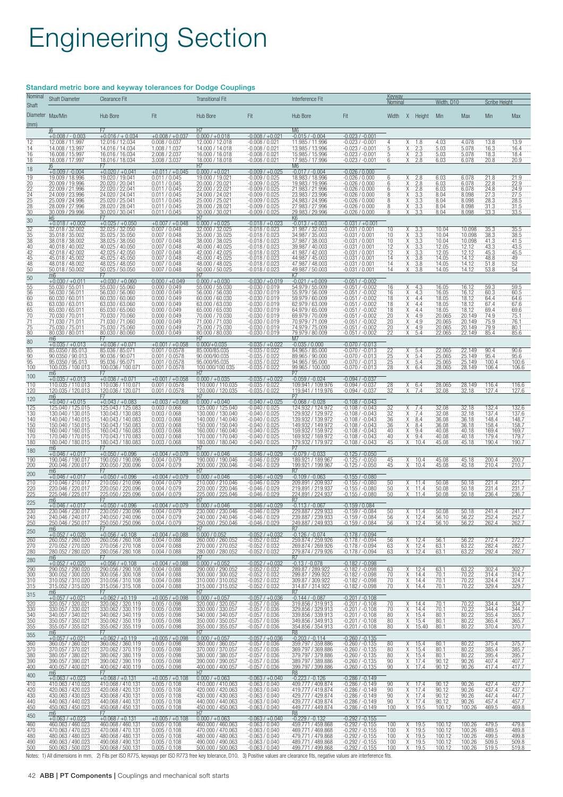# Engineering Section

### Standard metric bore and keyway tolerances for Dodge Couplings

| Nominal<br>Shaft                                                      | <b>Shaft Diameter</b>                                                                                                                                                               | <b>Clearance Fit</b>                                                                                                                                                                                                                                   |                                                                                                                                                                                                                               | <b>Transitional Fit</b>                                                                                                                                                                                                 |                                                                                                                                                                                                           | Interference Fit                                                                                                                                                                                                                                                               |                                                                                                                                                                                                                     | <u>Keyway</u><br>Width, D10<br>Nominal                                      |                                                                                                     | <b>Scribe Height</b>                                                                |                                                                                   |                                                                      |                                                                            |
|-----------------------------------------------------------------------|-------------------------------------------------------------------------------------------------------------------------------------------------------------------------------------|--------------------------------------------------------------------------------------------------------------------------------------------------------------------------------------------------------------------------------------------------------|-------------------------------------------------------------------------------------------------------------------------------------------------------------------------------------------------------------------------------|-------------------------------------------------------------------------------------------------------------------------------------------------------------------------------------------------------------------------|-----------------------------------------------------------------------------------------------------------------------------------------------------------------------------------------------------------|--------------------------------------------------------------------------------------------------------------------------------------------------------------------------------------------------------------------------------------------------------------------------------|---------------------------------------------------------------------------------------------------------------------------------------------------------------------------------------------------------------------|-----------------------------------------------------------------------------|-----------------------------------------------------------------------------------------------------|-------------------------------------------------------------------------------------|-----------------------------------------------------------------------------------|----------------------------------------------------------------------|----------------------------------------------------------------------------|
| (mm)                                                                  | Diameter Max/Min<br><u>i6</u>                                                                                                                                                       | Hub Bore<br>F7                                                                                                                                                                                                                                         | Fit                                                                                                                                                                                                                           | Hub Bore<br><b>H7</b>                                                                                                                                                                                                   | Fit                                                                                                                                                                                                       | Hub Bore<br>M <sub>6</sub>                                                                                                                                                                                                                                                     | Fit                                                                                                                                                                                                                 | Width X Height                                                              |                                                                                                     | Min                                                                                 | <b>Max</b>                                                                        | Min                                                                  | Max                                                                        |
| 12<br>14<br>16<br>18<br>18                                            | $+0.008/ -0.003$<br>12.008 / 11.997<br>14.008 / 13.997<br>16.008 / 15.997<br>18.008 / 17.997<br><u>j6</u>                                                                           | $+0.016/ + 0.034$<br>12.016 / 12.034<br>14.016 / 14.034<br>16.016 / 16.034<br>18.016 / 18.034<br>F7                                                                                                                                                    | $+0.008 / +0.037$<br>0.008 / 0.037<br>1.008 / 1.037<br>2.008 / 2.037<br>3.008 / 3.037                                                                                                                                         | $0.000 / +0.018$<br>12.000 / 12.018<br>14.000 / 14.018<br>16.000 / 16.018<br>18.000 / 18.018<br>H7                                                                                                                      | $-0.008 / +0.021$<br>$-0.008 / 0.021$<br>$-0.008$ / $0.021$<br><u>-0.008 / 0.021</u><br>$-0.008/0.021$                                                                                                    | $-0.015/ -0.004$<br>11.985 / 11.996<br>13.985 / 13.996<br>15.985 / 15.996<br>17.985 / 17.996<br>M <sub>6</sub>                                                                                                                                                                 | $-0.023 / -0.001$<br>$-0.023/ -0.001$<br>$-0.023/ -0.001$<br><u>0.023 / -0.001 .</u><br>$-0.023/ -0.001$                                                                                                            |                                                                             | 1.8<br>2.3<br>$\frac{2.3}{2.8}$                                                                     | 4.03<br>5.03<br>$\frac{5.03}{6.03}$                                                 | 4.078<br>5.078<br>$\frac{5.078}{6.078}$                                           | 13.8<br>16.3<br>$\frac{18.3}{20.8}$                                  | 13.9<br>16.4<br>$\frac{18.4}{20.9}$                                        |
| 19<br>$rac{28}{30}$                                                   | $+0.009/ -0.004$<br>19.009 / 18.996<br>20.009 / 19.996<br>22.009 / 21.996<br>24.009 / 23.996<br>25.009 / 24.996<br>28.009 / 27.996<br>30.009 / 29.996<br>k6                         | $+0.020/+0.04$<br>19.020 / 19.041<br>20.020 / 20.041<br>22.020 / 22.041<br>24.020 / 24.041<br>25.020 / 25.041<br>28.020 / 28.041<br>30.020 / 30.041<br>F7                                                                                              | $+0.011/+0.045$<br>0.011 / 0.045<br>0.011 / 0.045<br>$\frac{0.01170.045}{0.01170.045}$<br>0.011 / 0.045<br>0.011 / 0.045<br>0.011 / 0.045                                                                                     | $0.000 / +0.021$<br>19.000 / 19.02<br>20.000 / 20.02<br>22.000 / 22.02<br>24.000 / 24.021<br>25.000 / 25.021<br>28.000 / 28.021<br>30.000 / 30.021<br>H7                                                                | $-0.009/+0.025$<br>-0.009 / 0.025<br>$-0.009 / 0.025$<br>$-0.009 / 0.025$<br>$-0.009/0.025$<br>$-0.009/0.025$<br>$-0.009 / 0.025$<br>$-0.009 / 0.025$                                                     | $-0.017/ -0.004$<br>18.983 / 18.996<br>19.983 / 19.996<br>21.983 / 21.996<br>23.983 / 23.996<br>24.983 / 24.996<br>27.983 / 27.996<br>29.983 / 29.996<br>K <sub>6</sub>                                                                                                        | $-0.026/0.000$<br>-0.026 / 0.000<br>-0.026 / 0.000<br>$-0.026 / 0.000$<br>$-0.026/0.000$<br>$-0.026 / 0.000$<br>$-0.026 / 0.000$<br>$-0.026 / 0.000$                                                                |                                                                             | 2.8<br>X 28<br>X 28<br>X 33<br>X 33<br>X 33<br>$\frac{3.3}{3.3}$                                    | 6.03<br>6.03<br>6.03<br>8.04<br>8.04<br>8.04<br>8.04                                | 6.078<br>6.078<br>6.078<br>8.098<br>8.098<br>8.098<br>8.098                       | 21.8<br>22.8<br>$\frac{24.8}{27.3}$<br>28.3<br>$\frac{31.3}{33.3}$   | 21.9<br>$\frac{22.9}{24.9}$<br>$\frac{24.9}{27.5}$<br>$\frac{31.5}{33.5}$  |
| 30<br>32<br>35<br>38<br>40<br>42<br>45<br>48<br>$\overline{50}$<br>50 | $+0.018/+0.002$<br>32.018 / 32.002<br>35.018 / 35.002<br>38.018 / 38.002<br>40.018 / 40.002<br>42.018 / 42.002<br>45.018 / 45.002<br>48.018 / 48.002<br>50.018 / 50.002<br>m6       | $+0.025/+0.050$<br>$\frac{1}{32.025}$ $\frac{1}{35.025}$ $\frac{1}{35.025}$ $\frac{1}{38.050}$ $\frac{1}{38.050}$ $\frac{1}{38.050}$ $\frac{1}{40.025}$ $\frac{1}{40.050}$<br>42.025 / 42.050<br>45.025 / 45.050<br>48.025 / 48.050<br>50.025 / 50.050 | $+0.007/+0.048$<br>0.007 / 0.048<br>$\begin{array}{l} 0.007 \, \text{/} \, 0.048 \\ 0.007 \, \text{/} \, 0.048 \\ 0.007 \, \text{/} \, 0.048 \end{array}$<br>0.007 / 0.048<br>0.007 / 0.048<br>0.007 / 0.048<br>0.007 / 0.048 | $0.000 / +0.025$<br>$\frac{32,000}{35,000}$ / $\frac{32,025}{35,000}$ / $\frac{35,025}{38,000}$ / $\frac{38,025}{38,025}$<br>40.000 / 40.025<br>42.000 / 42.025<br>45.000 / 45.025<br>48.000 / 48.025<br>H <sub>7</sub> | $-0.018 / +0.023$<br>-0.018 / 0.023<br>-0.018 / 0.023<br>-0.018 / 0.023<br>-0.018 / 0.023<br>$-0.018/0.023$<br>$-0.018$ / 0.023<br>-0.018 / 0.023<br><u>-0.018 / 0.023</u>                                | $-0.013 / +0.003$<br>31.987 / 32.003<br>34.987 / 35.003<br>37.987 / 38.003<br>39.987 / 40.003<br>41.987 / 42.003<br>44.987 / 45.003<br>47.987 / 48.003<br>49.987 / 50.003<br>K7                                                                                                | $-0.031 / +0.001$<br>$-0.031 / 0.001$<br>$-0.031 / 0.001$<br>-0.031 / 0.001<br>-0.031 / 0.001<br>$-0.03170.001$<br>0.031 / 0.001 --<br>0.031 / 0.001 --<br>0.031 / 0.001                                            | 10<br>10<br>10<br>12<br>12<br>14<br>14<br>14                                | 3.3<br>أُنْتَ أَوْرَأَيْتَ أَوْرَأَيْتَ بِأَرْبَعَةٍ<br>وذاذها أوراق<br>وذاذها<br>$\frac{3.8}{3.8}$ | 10.04<br>10.04<br>10.04<br>12.05<br>12.05<br>14.05<br>14.05<br>14.05                | 10.098<br>10.098<br>$\frac{10.0008}{12.12}$<br>12.12<br>14.12<br>14.12<br>14.12   | 35.3<br>38.3<br>43.3<br>45.3<br>48.8<br>$\frac{51.8}{53.8}$          | 35.5<br>38.5<br>41.5<br>43.5<br>45.5<br>49<br>$\frac{52}{54}$              |
| 55<br>56<br>60<br>.63<br>65<br>70<br>71<br>75<br>80                   | $+0.030 / +0.011$<br>55.030 / 55.01<br>56.030 / 56.01<br>60.030 / 60.01<br>63.030 / 63.01<br>65.030 / 65.01<br>70.030 / 70.01<br>71.030 / 71.01<br>75.030 / 75.01<br>80.030 / 80.01 | $+0.030 / +0.060$<br>55.030 / 55.060<br>56.030 / 56.060<br>60.030 / 60.060<br>63.030 / 63.060<br>65.030 / 65.060<br>70.030 / 70.060<br>71.030 / 71.060<br>75.030 / 75.060<br>80.030 / 80.060                                                           | $0.000 / +0.049$<br>0.000 / 0.049<br>0.000 / 0.049<br>0.000 / 0.049<br>.0.000 / 0.049<br>.0.000 / 0.049<br>0.000 / 0.049<br>0.000 / 0.049<br>0.000 / 0.049<br>0.000 / 0.049                                                   | $0.000 / +0.030$<br>55.000 / 55.030<br>60.000 / 60.030<br>63.000 / 63.030<br>65.000 / 65.030<br>70.000 / 70.030<br>71.000 / 71.030<br>75.000 / 75.030<br>80.000 / 80.030                                                | $-0.030 / +0.019$<br><u>.-0.030 / 0.019</u><br>$-0.030 / 0.019$<br>$-0.030 / 0.019$<br>$-0.030 / 0.019$<br>$-0.030 / 0.019$<br>$-0.030 / 0.019$<br>$-0.030 / 0.019$<br>-0.030 / 0.019<br>$-0.030 / 0.019$ | $-0.021 / +0.009$<br>54.979 / 55.009<br>55.979 / 56.009<br>59.979 / 60.009<br>62.979 / 63.009<br>64.979 / 65.009<br>69.979 / 70.009<br>70.979 / 71.009<br>74.979 / 75.009<br>79.979 / 80.009                                                                                   | $-0.051 / -0.002$<br><u>.-0.051 / -0.002</u><br>$-0.051 / -0.002$<br>$-0.051 / -0.002$<br>$-0.051/ -0.002$<br>$-0.051 / -0.002$<br>$-0.051 / -0.002$<br>$-0.051 / -0.002$<br>$-0.051 / -0.002$<br>$-0.051 / -0.002$ | 16<br>16<br>18<br>18<br>18<br>$\frac{20}{20}$<br>$\overline{2}\overline{2}$ | .4.3<br>4.4<br>4.4<br>4.4<br>4.9<br>4.9<br>4.9<br>5.4                                               | 16.05<br>16.05<br>18.05<br>18.05<br>18.05<br>$\frac{20.065}{20.065}$<br>22.065      | 16.12<br>16.12<br>18.12<br>18.12<br>18.12<br>20.149<br>20.149<br>20.149<br>22.149 | 59.3<br>60.3<br>64.4<br>67.4<br>69.4<br>74.9<br>75.9<br>79.9<br>85.4 | $\frac{59.5}{60.5}$<br>64.6<br>67.6<br>69.6<br>75.1<br>76.<br>80.1<br>85.6 |
| 80<br>$\frac{85}{90}$<br>$\frac{95}{100}$<br>100                      | m6<br>$+0.035/+0.013$<br>85.0350 / 85.013<br>90.0350 / 90.013<br>95.0350 / 95.013<br>100.035 / 100.013<br>m <sub>6</sub>                                                            | F7<br>$+0.036 / +0.07$<br>85.036 / 85.07<br>90.036 / 90.07<br>95.036 / 95.071<br>100.036 / 100.07<br>F7                                                                                                                                                | $+0.001 / +0.058$<br>0.001 / 0.0578<br>0.001 / 0.0578<br>0.001 / 0.0578<br>0.001 / 0.0578                                                                                                                                     | H7<br>$0.000/+0.035$<br>85.000/85.035<br>90.000/90.035<br>95.000/95.035<br>100.000/100.035<br>H7                                                                                                                        | $-0.035/+0.022$<br>-0.035 / 0.022<br>$-0.03570.022$<br>$-0.035 / 0.022$<br>$-0.035/0.022$                                                                                                                 | -0.035 / 0.000<br>84.965 / 85.000<br>89.965 / 90.000<br>94.965 / 95.000<br>99.965 / 100.000<br>P7                                                                                                                                                                              | $-0.070/ -0.013$<br>-0.070 / -0.013<br>$-0.070$ / $-0.013$<br>$-0.070$ / $-0.013$<br>$-0.070$ / $-0.013$                                                                                                            | 22<br>25<br>25<br>28                                                        | $\frac{5.4}{5.4}$<br>5.4<br>6.4                                                                     | 22.065<br>25.065<br>25.065<br>28.065                                                | 22.149<br>25.149<br>25.149<br>28.149                                              | 90.4<br>95.4<br>100.4<br>106.4                                       | $\frac{90.6}{95.6}$<br>100.6<br>106.6                                      |
| 110<br>120<br>120                                                     | $+0.035/+0.013$<br>110.035 / 110.013<br>120.035 / 120.013<br>m6                                                                                                                     | $+0.036 / +0.071$<br>110.036 / 110.07<br>120.036 / 120.07<br>F7                                                                                                                                                                                        | $+0.001 / +0.058$<br>0.001 / 0.0578<br>0.001 / 0.0578                                                                                                                                                                         | $0.000 / +0.035$<br>110.000 / 110.035<br>120,000 / 120,035<br>H7                                                                                                                                                        | $-0.035/+0.022$<br>$-0.035 / 0.022$<br>$-0.035/0.022$                                                                                                                                                     | $-0.059/ -0.024$<br>109.941 / 109.976<br>119.941 / 119.976<br>P7                                                                                                                                                                                                               | $-0.094 / -0.037$<br>-0.094 / -0.037<br>-0.094 / -0.037                                                                                                                                                             | 28<br>32                                                                    | $\frac{6.4}{7.4}$                                                                                   | 28.065<br>32.08                                                                     | 28.149<br>32.18                                                                   | 116.4<br>127.4                                                       | 116.6<br>127.6                                                             |
| 125<br>130<br>140<br>150<br>160<br>170<br>180                         | $+0.040 / +0.015$<br>125.040 / 125.015<br>130.040 / 130.015<br>140.040 / 140.015<br>150.040 / 150.015<br>160.040 / 160.015<br>170.040 / 170.015<br>180.040 / 180.015<br>m6          | $+0.043/+0.083$<br>125.043 / 125.083<br>130.043 / 130.083<br>140.043 / 140.083<br>150.043 / 150.083<br>160.043 / 160.083<br>170.043 / 170.083<br>180.043 / 180.083<br>F7                                                                               | $+0.003/+0.068$<br>0.003 / 0.068<br>0.003 / 0.068<br>0.003 / 0.068<br>0.003 / 0.068<br>0.003 / 0.068<br>$\frac{0.003}{0.003}$ / 0.068                                                                                         | $0.000 / +0.040$<br>125.000 / 125.040<br>130.000 / 130.040<br>140.000 / 140.040<br>150.000 / 150.040<br>160.000 / 160.040<br>170.000 / 170.040<br>180.000 / 180.040<br>H <sub>7</sub>                                   | $-0.040 / +0.025$<br>$-0.040 / 0.025$<br>$-0.040 / 0.025$<br>$-0.040 / 0.025$<br>$-0.04070.025$<br>$-0.040 / 0.025$<br>-0.040 / 0.025<br>-0.040 / 0.025                                                   | $-0.068/ -0.028$<br>124.932 / 124.972<br>129.932 / 129.972<br>139.932 / 139.972<br>149.932 / 149.972<br>159.932 / 159.972<br>169.932 / 169.972<br>179.932 / 179.972<br>P7                                                                                                      | $-0.108 / -0.043$<br>$-0.108 / -0.043$<br>$-0.108 / -0.043$<br>$-0.108 / -0.043$<br>$-0.108 / -0.043$<br>$-0.1087 - 0.043$<br>-0.108 / -0.043<br>-0.108 / -0.043                                                    | 32<br>36<br>36<br>40<br>40<br>45                                            | 7.4<br>8.4<br>8.4<br>9.4<br>$\frac{9.4}{10.4}$                                                      | 32.08<br>32.08<br>36.08<br>40.08<br>40.08                                           | 32.18<br>32.18<br>36.18<br>40.18<br>$\frac{40.18}{45.18}$                         | 132.4<br>137.4<br>148.4<br>158.4<br>169.4<br>179.4<br>190.4          | 132.6<br>137.6<br>148.7<br>158.7<br>169.7<br>179.7<br>190.7                |
| 180<br>190<br>200                                                     | $+0.046 / +0.017$<br>190.046 / 190.017<br>200.046 / 200.017<br>m6                                                                                                                   | $+0.050 / +0.096$<br>190.050 / 190.096<br><u>200.050 / 200.096</u><br>F7                                                                                                                                                                               | $+0.004/+0.079$<br>0.004 / 0.079<br>0.004 / 0.079                                                                                                                                                                             | $0.000 / +0.046$<br>190.000 / 190.046<br>200.000 / 200.046<br>H7                                                                                                                                                        | $-0.046 / +0.029$<br>$-0.046 / 0.029$<br>$-0.046 / 0.029$                                                                                                                                                 | $-0.079/ -0.033$<br>189.921 / 189.967<br>199.921 / 199.967<br>R <sub>7</sub>                                                                                                                                                                                                   | $-0.125/ -0.050$<br>-0.125 / -0.050<br>-0.125 / -0.050                                                                                                                                                              | 45<br>45                                                                    | 10.4<br>10.4                                                                                        | 45.08<br>45.08                                                                      | 45.18<br>45.18                                                                    | $\frac{200.4}{210.4}$                                                | 200.7<br>210.7                                                             |
| 200<br>210<br>$\frac{220}{225}$                                       | $+0.046 / +0.017$<br>210.046 / 210.017<br>220.046 / 220.017<br>225.046 / 225.017<br>m6                                                                                              | $+0.050 / +0.096$<br>210.050 / 210.096<br>220.050 / 220.096<br>225.050 / 225.096                                                                                                                                                                       | $+0.004/+0.079$<br>0.004 / 0.079<br>0.004 / 0.079<br>0.004 / 0.079                                                                                                                                                            | $0.000 / +0.046$<br>210.000 / 210.046<br>220.000 / 220.046<br>225.000 / 225.046<br>H <sub>7</sub>                                                                                                                       | $-0.046 / +0.029$<br>-0.046 / 0.029<br>$-0.046 / 0.029$<br>$-0.046 / 0.029$                                                                                                                               | $-0.109 / -0.063$<br>209.891 / 209.937<br>219.891 / 219.937<br>224.891 / 224.937<br>R7                                                                                                                                                                                         | $-0.155/ -0.080$<br>$-0.155/ -0.080$<br>$-0.155 / -0.080$<br>$-0.155/ -0.080$                                                                                                                                       | 50<br>$\frac{50}{50}$                                                       | 11.4<br>11.4<br>11.4                                                                                | 50.08<br>50.08                                                                      | 50.18<br>$\frac{50.18}{50.18}$                                                    | 221.4<br>$\frac{231.4}{236.4}$                                       | 221.7<br>231.7<br>236.7                                                    |
| 225<br>$\frac{230}{240}$<br>250                                       | $+0.046 / +0.017$<br>230.046 / 230.01<br>240.046 / 240.017<br>250.046 / 250.017<br>m6                                                                                               | $+0.050 / +0.096$<br>230.050 / 230.096<br>240.050 / 240.096<br>250.050 / 250.096<br>F7                                                                                                                                                                 | $+0.004/+0.079$<br>0.004 / 0.079<br>0.004 / 0.079<br>0.004 / 0.079                                                                                                                                                            | $0.000 / +0.046$<br>230.000 / 230.046<br>240.000 / 240.046<br>250.000 / 250.046<br>H7                                                                                                                                   | $-0.046 / +0.029$<br>$-0.046$ $/ 0.029$<br>-0.046 / 0.029<br>$-0.046/0.029$                                                                                                                               | $-0.113 / -0.067$<br>229.887 / 229.933<br>239.887<br>239.933<br>249.887 / 249.933<br>R7                                                                                                                                                                                        | $-0.159 / 0.084$<br><u>.-0.159 / -0.084</u><br>-0.159 / -0.084<br>$-0.159/ -0.084$                                                                                                                                  | .50<br>56<br>56                                                             | 12.4<br>12.4                                                                                        | 50.08<br>56.10<br>56.10                                                             | .50.18<br>56.22<br>56.22                                                          | 241.4<br>262.4                                                       | 241.<br>262.7                                                              |
| 250<br>$\frac{260}{270}$<br>280                                       | $+0.052/+0.020$<br>260.052 / 260.020<br>270.052 / 270.020<br>280.052 / 280.020                                                                                                      | $+0.056 / +0.108$<br>260.056 / 260.108<br>270.056 / 270.108<br>280.056 / 280.108                                                                                                                                                                       | $+0.004/+0.088$<br>0.004 / 0.088<br>0.004 / 0.088<br>0.004 / 0.088                                                                                                                                                            | 0.000 / 0.052<br>260.000 / 260.052<br>270.000 / 270.052<br>280,000 / 280,052                                                                                                                                            | $-0.052/+0.032$<br>$-0.052 / 0.032$<br>$-0.052/0.032$<br>$-0.052 / 0.032$                                                                                                                                 | $-0.126 / -0.074$<br>259.874 / 259.926<br>269.874 / 269.926<br>279.874 / 279.926                                                                                                                                                                                               | $-0.178/ -0.094$<br>$-0.178/ -0.094$<br>$-0.178/ -0.094$<br>$-0.1787 - 0.094$                                                                                                                                       | .56<br>63<br>63                                                             | $\frac{12.4}{12.4}$                                                                                 | $\frac{56.1}{63.1}$                                                                 | $\frac{56.22}{63.22}$                                                             | 272.4<br>282.4<br>292.4                                              | 272.7<br>282.7<br>292.7                                                    |
| 280<br>290<br>300<br>310<br>315<br>315                                | m6<br>$+0.052/ +0.020$<br>290.052 / 290.020<br>300.052 / 300.020<br>310.052 / 310.020<br>315.052 / 315.020<br>m6                                                                    | F7.<br>$+0.056 / +0.108$<br>290.056 / 290.108<br>300.056 / 300.108<br>310.056 / 310.108<br>315.056 / 315.108<br>F7                                                                                                                                     | $+0.004/+0.088$<br>0.004 / 0.088<br>0.004 / 0.088<br>0.004 / 0.088<br>0.004 / 0.088                                                                                                                                           | H7<br>$0.000 / +0.052$<br>290.000 / 290.052<br>300.000 / 300.052<br>310.0007310.052<br>315.0007315.052<br>H7                                                                                                            | $-0.052/+0.032$<br>$-0.052 / 0.032$<br>$-0.052 / 0.032$<br>$-0.052/0.032$<br>$-0.052/0.032$                                                                                                               | R7<br>$-0.13 / -0.078$<br>289.87 / 289.922<br>299.87 / 299.922<br>309.87 / 309.922<br>314.87 / 314.922<br>R7                                                                                                                                                                   | $-0.182 / -0.098$<br>$-0.182 / -0.098$<br>$-0.182 / -0.098$<br>$-0.182 / -0.098$<br>$-0.182 / -0.098$                                                                                                               | $\frac{63}{70}$<br>70<br>70                                                 | 12.4<br>14.4<br>14.4<br>14.4                                                                        | $\begin{array}{r}\n 63.1 \\  70.1 \\  70.1 \\  70.1\n\end{array}$                   | 63.22<br>$\frac{70.22}{70.22}$                                                    | 302.4<br>$\frac{314.4}{324.4}$<br>$\frac{324.4}{329.4}$              | 302.7<br>314.7<br>324.7<br>329.7                                           |
| 320<br>330<br>340<br>350<br>355<br>355                                | $+0.057/+0.021$<br>320.057 / 320.021<br>330.057 / 330.021<br>340.057 / 340.021<br>350.057 / 350.021<br>350.057 / 350.021<br>m6                                                      | $+0.062 / +0.119$<br>320.062 / 320.119<br>330.062 / 330.119<br>340.062 / 340.119<br>350.062 / 350.119<br>355.062 / 355.119<br>F7                                                                                                                       | $+0.005 / +0.098$<br>0.005 / 0.098<br>0.005 / 0.098<br>.0.005 / 0.098<br>0.005 / 0.098<br>0.005 / 0.098                                                                                                                       | $0.000 / +0.057$<br>320.000 / 320.057<br>330.000 / 330.057<br>340.000 / 340.057<br>350.000 / 350.057<br>355.000 / 355.057<br>H7                                                                                         | $-0.057 / +0.036$<br>$-0.057 / 0.036$<br>$-0.057 / 0.036$<br>$-0.057 / 0.036$<br>$-0.057 / 0.036$<br>$-0.057/0.036$                                                                                       | $-0.144/ -0.087$<br>319.856 / 319.913<br>329.856 / 329.913<br>339.856 / 339.913<br>349.856 / 349.913<br>354.856 / 354.913<br>R <sub>8</sub>                                                                                                                                    | $-0.201 / -0.108$<br>$\frac{-0.2017 - 0.108}{-0.2017 - 0.108}$<br>$-0.201 / -0.108$<br>$-0.201 / -0.108$<br>$-0.201 / -0.108$                                                                                       | 70<br>70<br>$\begin{array}{c} 80 \\ 80 \end{array}$<br>80                   | $\frac{14.4}{14.4}$<br>15.4<br>15.4<br>15.40                                                        | $\frac{70.1}{70.1}$<br>80.1<br>80.<br>80.1                                          | 70.22<br>70.22<br>$\frac{80.22}{80.22}$<br>80.22                                  | 334.4<br>344.4<br>$\frac{355.4}{365.4}$                              | 334.7<br>344.7<br>355.7<br>365.7<br>370.7                                  |
| 360<br>370<br>380<br>380<br>400<br>400                                | $+0.057/+0.021$<br>360.057 / 360.021<br>370.057 / 370.021<br>380.057 / 380.021<br>380.057 / 380.021<br>400.057 / 400.021<br>m6                                                      | $+0.062 / +0.119$<br>$\frac{360.062}{370.062} \times \frac{360.119}{370.062} \times \frac{370.119}{380.162} \times \frac{360.119}{390.062} \times \frac{360.119}{390.119}$<br>400.062 / 400.119<br>F7                                                  | $+0.005/+0.098$<br>$\frac{0.005}{0.005}$<br>$\frac{0.005}{0.009}$<br>$\frac{0.005}{0.009}$<br>$\frac{0.005}{0.009}$<br>0.005 / 0.098                                                                                          | $0.000 / +0.057$<br>$\frac{360,000}{370,000}$ / 360.057<br>370.000 / 370.057<br>380.000 / 380.057<br>390.000 / 390.057<br>400.000 / 400.057<br>$\overline{H}$                                                           | $-0.057 / +0.036$<br>-0.057 / 0.036<br>-0.057 / 0.036<br>-0.057 / 0.036<br>-0.057 / 0.036<br>$-0.057/0.036$                                                                                               | $-0.203 / -0.114$<br>-0.2007777359.886<br>359.79777369.886<br>369.79777369.886<br>379.79777379.886<br>399.7977389.886<br>$\overline{R8}$                                                                                                                                       | $-0.260 / -0.135$<br>$\begin{array}{r} -0.260 / -0.135 \\ -0.260 / -0.135 \\ -0.260 / -0.135 \\ -0.260 / -0.135 \\ -0.260 / -0.135 \\ \end{array}$<br>$-0.260 / -0.135$                                             | $\frac{80}{80}$<br>$\frac{80}{90}$<br>$-55$                                 | $\frac{15.4}{15.4}$<br>15.4<br>17.4<br>17.4                                                         | $\begin{array}{r} \hline 80.1 \\ 80.1 \\ 80.1 \\ 90.12 \\ \hline 90.12 \end{array}$ | $\begin{array}{r} 80.22 \\ 80.22 \\ 80.22 \\ 90.26 \\ \hline 90.26 \end{array}$   | $\frac{375.4}{385.4}$<br>385.4<br>407.4<br>417.4                     | 375.7<br>385.7<br>395.7<br>407.7<br>417.7                                  |
| 410<br>420<br>430<br>440<br>450<br>450                                | $+0.063/+0.023$<br>410.063 / 410.023<br>420.063 / 420.023<br>430.063 / 430.023<br>440.063 / 440.023<br>450.063 / 450.023<br><u>m6</u>                                               | $+0.068 / +0.131$<br>410.068 / 410.131<br>420.068 / 420.131<br>430.068 / 430.131<br>440.068 / 440.131<br>450.068 / 450.131<br>F7                                                                                                                       | $+0.005/+0.108$<br>0.005 / 0.108<br>0.005 / 0.108<br>$\frac{0.005}{0.005}$ / $\frac{0.108}{0.108}$<br>0.005 / 0.108                                                                                                           | $0.000 / +0.063$<br>410.000 / 410.063<br>420.000 / 420.063<br>430.000 / 430.063<br>440.000 / 440.063<br>450.000 / 450.063<br>H7                                                                                         | $-0.063 / +0.040$<br>$-0.063 / 0.040$<br>$-0.063 / 0.040$<br>$-0.063 / 0.040$<br>$-0.063 / 0.040$<br>$-0.063 / 0.040$                                                                                     | $-0.223 / -0.126$<br>409.777 / 409.874<br>419.777 / 419.874<br>429.777 / 429.874<br>439.777 / 439.874<br>449.777 / 449.874<br>R <sub>8</sub>                                                                                                                                   | $-0.286 / -0.149$<br>-0.286 / -0.149<br>$-0.286 / -0.149$<br>0.286 / -0.149<br>-0.286 / -0.149<br>-0.286 / -0.149                                                                                                   | .90<br>$\frac{90}{90}$<br>100                                               | 17.4<br>.17.4<br>$\frac{17.4}{17.4}$<br>19.5                                                        | 90.12<br>90.12<br>$\frac{90.12}{90.12}$<br>100.12                                   | .90.26<br>90.26<br>90.26<br>90.26<br>100.26                                       | 427.4<br>437.4<br>447.4<br>457.4<br>469.5                            | 427.7<br>437.7<br>447.7<br>457.7<br>469.8                                  |
| 460<br>470<br>480<br>490<br>500                                       | $+0.063/+0.023$<br>460.063 / 460.023<br>470.063 / 470.023<br>480.063 / 480.023<br>490.063 / 490.023<br>500.063 / 500.023<br>Notes: 1) All dimensions in mm.                         | $+0.068 / +0.131$<br>460.068 / 460.131<br>470.068 / 470.131<br>480.068 / 480.131<br>490.068 / 490.131<br>500.068 / 500.131                                                                                                                             | $+0.005/+0.108$<br>0.005 / 0.108<br>0.005 / 0.108<br>0.005 / 0.108<br>0.005 / 0.108<br>0.005 / 0.108                                                                                                                          | $0.000 / +0.063$<br>460.000 / 460.063<br>470.000 / 470.063<br>480.000 / 480.063<br>490.000 / 490.063<br>500.000 / 500.063                                                                                               | $-0.063 / +0.040$<br>$-0.063 / 0.040$<br>$-0.063/0.040$<br>$-0.063 / 0.040$<br>$-0.063/0.040$<br>$-0.063 / 0.040$                                                                                         | $-0.229/ -0.132$<br>459.771 / 459.868<br>469.771 / 469.868<br>479.771 / 479.868<br>489.771 / 489.868<br>499.771 / 499.868<br>2) Fits per ISO R775, keyways per ISO R773 free key tolerance, D10. 3) Positive values are clearance fits, negative values are interference fits. | $-0.292 / -0.155$<br>$-0.292/ -0.155$<br>$-0.2927 - 0.155$<br>$-0.292/ -0.155$<br>$-0.292/ -0.155$<br>$-0.292/ -0.155$                                                                                              | 100<br>100<br>100<br>100<br>100                                             | 19.5<br>19.5<br>19.5<br>19.5<br>19.5                                                                | 100.12<br>100.12<br>100.12<br>100.12<br>100.12                                      | 100.26<br>100.26<br>100.26<br>100.26<br>100.26                                    | 479.5<br>489.5<br>499.5<br>509.5<br>519.5                            | 479.8<br>489.8<br>499.8<br>509.8<br>519.8                                  |

**ABB | PT Components |** Couplings and mechanical soft starts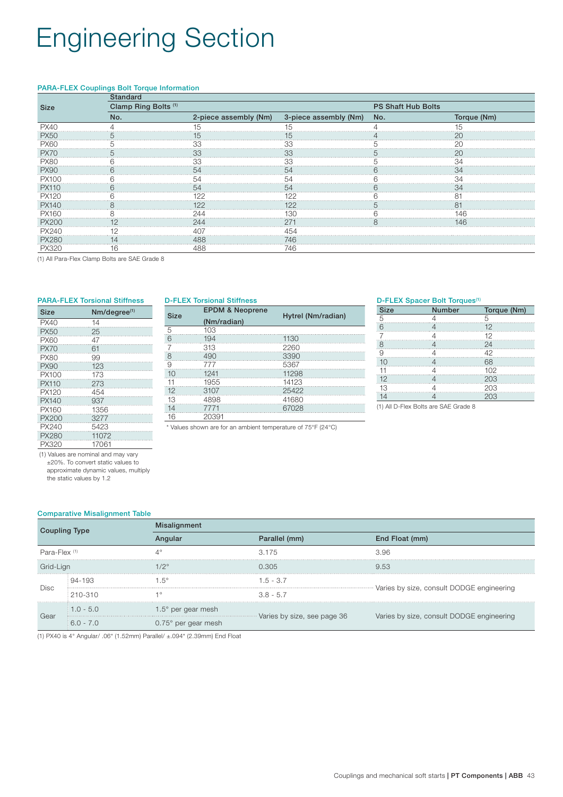## Engineering Section

### PARA-FLEX Couplings Bolt Torque Information

|      | <b>Standard</b>                 |   |                                             |                           |                           |  |  |
|------|---------------------------------|---|---------------------------------------------|---------------------------|---------------------------|--|--|
| Size | Clamp Ring Bolts <sup>(1)</sup> |   |                                             | <b>PS Shaft Hub Bolts</b> |                           |  |  |
|      | No.                             |   | 2-piece assembly (Nm) 3-piece assembly (Nm) | No.                       | Torque (Nm)               |  |  |
| PX40 |                                 |   |                                             |                           |                           |  |  |
| -X50 |                                 |   |                                             |                           |                           |  |  |
| 2X60 |                                 |   |                                             |                           |                           |  |  |
|      |                                 |   |                                             |                           |                           |  |  |
|      |                                 |   |                                             |                           | ************************* |  |  |
|      |                                 |   |                                             |                           |                           |  |  |
|      |                                 |   |                                             |                           |                           |  |  |
|      |                                 |   |                                             |                           |                           |  |  |
|      |                                 |   |                                             |                           |                           |  |  |
|      |                                 | . |                                             |                           |                           |  |  |
|      |                                 |   |                                             |                           |                           |  |  |
|      |                                 |   |                                             |                           |                           |  |  |
|      |                                 |   |                                             |                           |                           |  |  |
|      |                                 |   |                                             |                           |                           |  |  |
|      |                                 |   | 746                                         |                           |                           |  |  |

(1) All Para-Flex Clamp Bolts are SAE Grade 8

|             | <b>PARA-FLEX Torsional Stiffness</b> |                        | <b>D-FLEX Torsional Stiffness</b>                            |                    |             | D-FLEX Spacer Bolt Torques <sup>(1)</sup> |             |
|-------------|--------------------------------------|------------------------|--------------------------------------------------------------|--------------------|-------------|-------------------------------------------|-------------|
| Size        | $Nm/degree^{(1)}$                    |                        | <b>EPDM &amp; Neoprene</b>                                   |                    | <b>Size</b> | <b>Number</b>                             | Torque (Nm) |
| <b>PX40</b> |                                      | <b>Size</b>            | (Nm/radian)                                                  | Hytrel (Nm/radian) |             |                                           |             |
| <b>PX50</b> |                                      |                        |                                                              |                    |             |                                           |             |
| PX60        |                                      |                        |                                                              |                    |             |                                           |             |
|             |                                      |                        |                                                              |                    |             |                                           |             |
| PX8(        |                                      |                        | 490                                                          |                    |             |                                           |             |
| <b>PX90</b> |                                      | ********************** |                                                              |                    |             |                                           |             |
|             |                                      | 10                     |                                                              |                    |             |                                           |             |
| PX110       |                                      |                        |                                                              |                    |             |                                           |             |
|             | 454                                  |                        |                                                              |                    |             |                                           |             |
| PX140       | ************************<br><br>937  |                        |                                                              |                    |             |                                           | 203         |
|             | 1356                                 | .                      |                                                              |                    |             | (1) All D-Flex Bolts are SAE Grade 8      |             |
|             |                                      | .<br>.<br>16           | 20391                                                        |                    |             |                                           |             |
|             |                                      |                        | * Values shown are for an ambient temperature of 75°F (24°C) |                    |             |                                           |             |
|             | <b></b><br>1072                      |                        |                                                              |                    |             |                                           |             |

 (1) Values are nominal and may vary ±20%. To convert static values to approximate dynamic values, multiply

the static values by 1.2

PX320 17061

### Comparative Misalignment Table

| Coupling Type            |                       | <b>Misalignment</b>          |                             |                                           |  |  |  |  |  |  |
|--------------------------|-----------------------|------------------------------|-----------------------------|-------------------------------------------|--|--|--|--|--|--|
|                          |                       |                              | Parallel (mm)               | End Float (mm)                            |  |  |  |  |  |  |
| Para-Flex <sup>(1)</sup> |                       |                              | 3.175                       | 3.96                                      |  |  |  |  |  |  |
| Grid-Lign                |                       | $1/2^\circ$                  | 0.305                       | 9.53                                      |  |  |  |  |  |  |
|                          | $94 - 193$            | $.5^{\circ}$                 | $1.5 - 3.7$                 |                                           |  |  |  |  |  |  |
| Disc                     | $\frac{1}{2}$ 210-310 | 4 O                          | $3.8 - 5.7$                 | Varies by size, consult DODGE engineering |  |  |  |  |  |  |
| Gear                     | $1.0 - 5.0$           | $1.5^\circ$ per gear mesh    |                             |                                           |  |  |  |  |  |  |
|                          | $6.0 - 7.0$           | $0.75^{\circ}$ per gear mesh | Varies by size, see page 36 | Varies by size, consult DODGE engineering |  |  |  |  |  |  |

(1) PX40 is 4° Angular/ .06" (1.52mm) Parallel/ ±.094" (2.39mm) End Float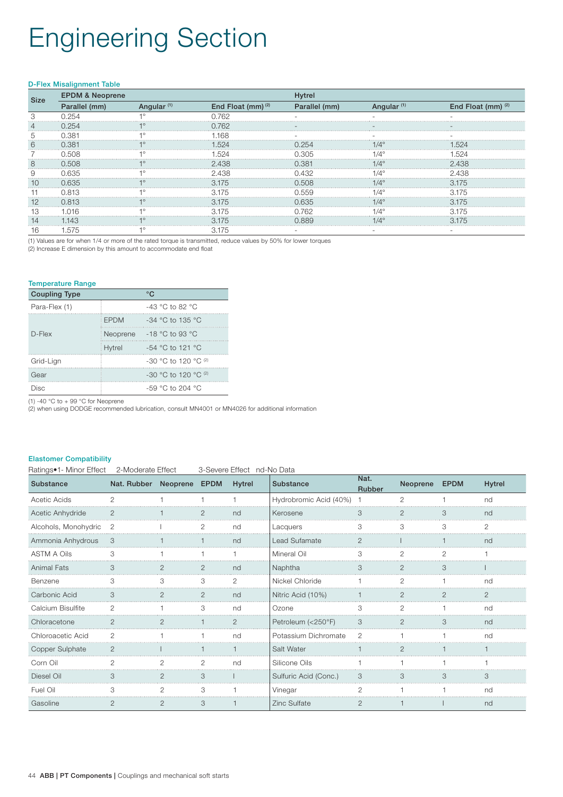# Engineering Section

#### D-Flex Misalignment Table

| Size    | <b>EPDM &amp; Neoprene</b> |                        |                               |               |                        |                    |  |  |  |
|---------|----------------------------|------------------------|-------------------------------|---------------|------------------------|--------------------|--|--|--|
|         | Parallel (mm)              | Angular <sup>(1)</sup> | End Float (mm) <sup>(2)</sup> | Parallel (mm) | Angular <sup>(1)</sup> | End Float (mm) (2) |  |  |  |
|         |                            |                        |                               |               |                        |                    |  |  |  |
|         |                            |                        |                               |               |                        |                    |  |  |  |
|         |                            |                        | .168                          |               |                        |                    |  |  |  |
| $\circ$ |                            |                        |                               |               |                        |                    |  |  |  |
|         |                            |                        |                               |               |                        |                    |  |  |  |
| 8<br>.  | 0.508                      |                        | 2.438                         |               |                        | .438               |  |  |  |
|         | 0.635                      |                        | 2.438                         |               |                        | .438               |  |  |  |
|         | 0.635                      |                        | 3.175                         | 0.508         |                        | 175                |  |  |  |
|         |                            |                        |                               |               |                        | /.                 |  |  |  |
|         | 0.813                      |                        | 3.175                         | 1.635         |                        | 175                |  |  |  |
|         |                            |                        |                               |               |                        | 75                 |  |  |  |
|         |                            |                        | 3.175                         |               |                        | 175                |  |  |  |
|         |                            |                        |                               |               |                        |                    |  |  |  |

(1) Values are for when 1/4 or more of the rated torque is transmitted, reduce values by 50% for lower torques

(2) Increase E dimension by this amount to accommodate end float

#### Temperature Range

| <b>Coupling Type</b> |             | °€                          |
|----------------------|-------------|-----------------------------|
| Para-Flex (1)        |             | $-43$ °C to 82 °C           |
|                      | <b>FPDM</b> | $-34$ °C to 135 °C          |
| $D$ -Flex            | Neoprene    | -18 °C to 93 °C             |
|                      | Hytrel      | $-54$ °C to 121 °C          |
| Grid-Lign            |             | $-30$ °C to 120 °C $^{(2)}$ |
| Gear                 |             | $-30$ °C to 120 °C $^{(2)}$ |
| Disc                 |             | $-59$ °C to 204 °C          |

(1) -40 °C to + 99 °C for Neoprene

(2) when using DODGE recommended lubrication, consult MN4001 or MN4026 for additional information

#### Elastomer Compatibility

Ratings•1- Minor Effect 2-Moderate Effect 3-Severe Effect nd-No Data

| Substance            | Nat. Rubber Neoprene EPDM |                |                | Hytrel         | Substance                | Nat.<br>Rubber | Neoprene      | <b>EPDM</b> | <b>Hytrel</b>  |
|----------------------|---------------------------|----------------|----------------|----------------|--------------------------|----------------|---------------|-------------|----------------|
| Acetic Acids         | $\mathfrak{D}$            |                |                |                | Hydrobromic Acid (40%) 1 |                | 2             |             | nd             |
| Acetic Anhydride     | $\overline{2}$            |                | 2              | nd             | Kerosene                 | 3              | $\mathcal{P}$ | 3           | nd             |
| Alcohols, Monohydric | $\mathcal{P}$             |                | $\mathfrak{D}$ | nd             | Lacquers                 | Я              |               | 3           | $\mathfrak{D}$ |
| Ammonia Anhydrous    |                           |                |                | nd             | Lead Sufamate            |                |               |             | nd             |
| <b>ASTM A Oils</b>   |                           |                |                |                | Mineral Oil              |                |               |             |                |
| <b>Animal Fats</b>   | 3                         |                | 2              | nd             | Naphtha                  | 3              |               | 3           |                |
| Benzene              | 3                         | 3              | 3              | 2              | Nickel Chloride          |                | 2             |             | nd             |
| Carbonic Acid        | 3                         |                | 2              | nd             | Nitric Acid (10%)        |                |               | 2           | $\overline{2}$ |
| Calcium Bisulfite    | $\mathcal{D}$             |                | 3              | nd             | Ozone                    | Я              | 2             |             | nd             |
| Chloracetone         | $\mathcal{P}$             | 2              |                | $\mathfrak{D}$ | Petroleum (<250°F)       | 3              | $\mathcal{P}$ | 3           | nd             |
| Chloroacetic Acid    | 2                         |                |                | nd             | Potassium Dichromate     | ク              |               |             | nd             |
| Copper Sulphate      |                           |                |                |                | Salt Water               |                |               |             |                |
| Corn Oil             |                           | 2              | 2              | nd             | Silicone Oils            |                |               |             |                |
| Diesel Oil           | 3                         | 2              | 3              |                | Sulfuric Acid (Conc.)    | 3              | 3             | 3           | 3              |
| Fuel Oil             | 3                         | 2              | 3              |                | Vinegar                  | 2              |               |             | nd             |
| Gasoline             | 2                         | $\overline{2}$ | 3              |                | <b>Zinc Sulfate</b>      | $\overline{2}$ |               |             | nd             |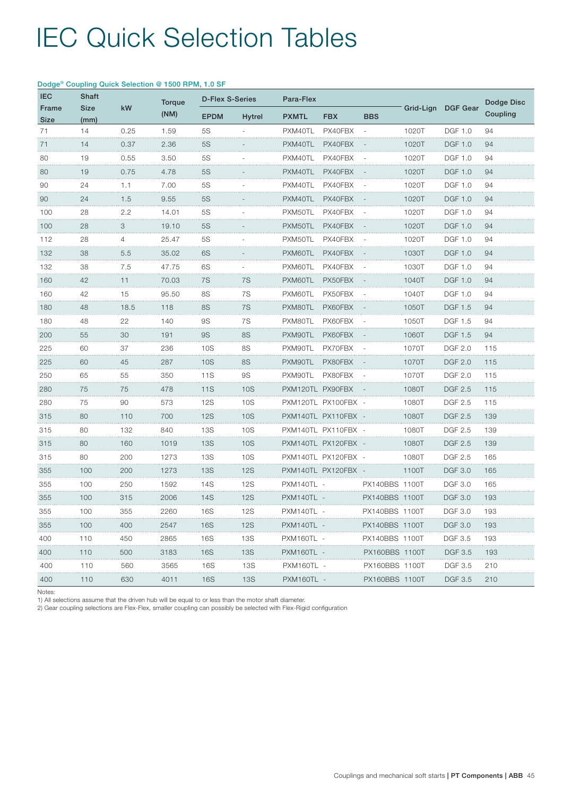| <b>IEC</b>  | Dodge® Coupling Quick Selection @ 1500 RPM, 1.0 SF<br><b>Shaft</b> |         |               |                        |               |                  |                   |                |       |                    |            |
|-------------|--------------------------------------------------------------------|---------|---------------|------------------------|---------------|------------------|-------------------|----------------|-------|--------------------|------------|
| Frame       | <b>Size</b>                                                        | kW      | <b>Torque</b> | <b>D-Flex S-Series</b> |               | Para-Flex        |                   |                |       | Grid-Lign DGF Gear | Dodge Disc |
| <b>Size</b> | (mm)                                                               |         | (NM)          | <b>EPDM</b>            | <b>Hytrel</b> | <b>PXMTL</b>     | <b>FBX</b>        | <b>BBS</b>     |       |                    | Coupling   |
| 71          | 14                                                                 | 0.25    | 1.59          | 5S                     |               | PXM40TL          | PX40FBX           |                | 1020T | <b>DGF 1.0</b>     | 94         |
| 71          | 14                                                                 | 0.37    | 2.36          | 5S                     |               | PXM40TL          | PX40FBX           |                | 1020T | <b>DGF 1.0</b>     | 94         |
| 80          | 19                                                                 | 0.55    | 3.50          | 5S                     |               | PXM40TL          | PX40FBX           |                | 1020T | <b>DGF 1.0</b>     | 94         |
| 80          | 19                                                                 | 0.75    | 4.78          | <b>5S</b>              |               | PXM40TL          | PX40FBX           |                | 1020T | <b>DGF 1.0</b>     | 94         |
| 90          | 24                                                                 | 1.1     | 7.00          | 5S                     |               | PXM40TL          | PX40FBX           |                | 1020T | <b>DGF 1.0</b>     | 94         |
| 90          | 24                                                                 | 1.5     | 9.55          | <b>5S</b>              |               | PXM40TL          | PX40FBX           |                | 1020T | <b>DGF 1.0</b>     | 94         |
| 100         | 28                                                                 | 2.2     | 14.01         | 5S                     |               | PXM50TL          | PX40FBX           |                | 1020T | DGF 1.0            | 94         |
| 100         | 28                                                                 | 3       | 19.10         | <b>5S</b>              |               | PXM50TL          | PX40FBX           |                | 1020T | <b>DGF 1.0</b>     | 94         |
| 112         | 28                                                                 | 4       | 25.47         | <b>5S</b>              |               | PXM50TL          | PX40FBX           |                | 1020T | <b>DGF 1.0</b>     | 94         |
| 132         | 38                                                                 | 5.5     | 35.02         | 6S                     |               | PXM60TL          | PX40FBX           |                | 1030T | DGF 1.0            | 94         |
| 132         | 38                                                                 | 7.5     | 47.75         | 6S                     |               | PXM60TL          | PX40FBX           |                | 1030T | <b>DGF 1.0</b>     | 94         |
| 160         | 42                                                                 | 11      | 70.03         | 7S                     | 7S            | PXM60TL          | PX50FBX           |                | 1040T | <b>DGF 1.0</b>     | 94         |
| 160         | 42                                                                 | 15      | 95.50         | 8S                     | 7S            | PXM60TL          | PX50FBX           |                | 1040T | DGF 1.0            | 94         |
| 180         | 48                                                                 | 18.5    | 118           | 8S                     | 7S            | PXM80TL          | PX60FBX           |                | 1050T | <b>DGF 1.5</b>     | 94         |
| 180         | 48<br>.                                                            | 22<br>. | 140           | <b>9S</b><br>.         | 7S<br>.       | PXM80TL          | PX60FBX           |                | 1050T | DGF 1.5            | 94         |
| .<br>200    | 55                                                                 | 30      | 191           | <b>9S</b>              | <b>8S</b>     | PXM90TL          | PX60FBX           |                | 1060T | <b>DGF 1.5</b>     | 94         |
| 225         | 60                                                                 | 37      | 236           | 10S                    | 8S            | PXM90TL          | PX70FBX           |                | 1070T | <b>DGF 2.0</b>     | 115        |
| 225         | 60                                                                 | 45      | 287           | 10S                    | <b>8S</b>     | PXM90TL          | PX80FBX           |                | 1070T | <b>DGF 2.0</b>     | 115        |
| 250         | 65                                                                 | 55      | 350           | 11S                    | <b>9S</b>     | PXM90TL          | PX80FBX           |                | 1070T | <b>DGF 2.0</b>     | 115        |
| 280<br>.    | 75                                                                 | 75      | 478           | <b>11S</b>             | 10S           | PXM120TL PX90FBX |                   |                | 1080T | DGF 2.5            | 115        |
| 280         | 75                                                                 | 90      | 573           | 12S                    | 10S           |                  | PXM120TL PX100FBX |                | 1080T | <b>DGF 2.5</b>     | 115        |
| 315         | 80                                                                 | 110     | 700           | <b>12S</b>             | <b>10S</b>    |                  | PXM140TL PX110FBX |                | 1080T | <b>DGF 2.5</b>     | 139        |
| 315         | 80                                                                 | 132     | 840           | 13S                    | 10S           |                  | PXM140TL PX110FBX |                | 1080T | <b>DGF 2.5</b>     | 139        |
| 315         | 80                                                                 | 160     | 1019          | <b>13S</b>             | 10S           |                  | PXM140TL PX120FBX |                | 1080T | <b>DGF 2.5</b>     | 139        |
| 315         | 80                                                                 | 200     | 1273          | 13S                    | 10S           |                  | PXM140TL PX120FBX |                | 1080T | <b>DGF 2.5</b>     | 165        |
| 355         | 100                                                                | 200     | 1273          | <b>13S</b>             | <b>12S</b>    |                  | PXM140TL PX120FBX |                | 1100T | <b>DGF 3.0</b>     | 165        |
| 355         | 100                                                                | 250     | 1592          | 14S                    | <b>12S</b>    | PXM140TL         |                   | PX140BBS 1100T |       | DGF 3.0            | 165        |
| 355         | 100                                                                | 315     | 2006          | 14S                    | <b>12S</b>    | PXM140TL-        |                   | PX140BBS 1100T |       | <b>DGF 3.0</b>     | 193        |
| 355         | 100                                                                | 355     | 2260          | 16S                    | 12S           | PXM140TL-        |                   | PX140BBS 1100T |       | <b>DGF 3.0</b>     | 193        |
| 355         | 100                                                                | 400     | 2547          | <b>16S</b>             | <b>12S</b>    | PXM140TL         |                   | PX140BBS 1100T |       | DGF 3.0            | 193        |
| 400         | 110                                                                | 450     | 2865          | 16S                    | 13S           | PXM160TL         |                   | PX140BBS 1100T |       | DGF 3.5            | 193        |
| 400         | 110                                                                | 500     | 3183          | <b>16S</b>             | <b>13S</b>    | PXM160TL         |                   | PX160BBS 1100T |       | <b>DGF 3.5</b>     | 193        |
| 400         | 110                                                                | 560     | 3565          | 16S                    | 13S           | PXM160TL         |                   | PX160BBS 1100T |       | DGF 3.5            | 210        |
| <br>400     | 110                                                                | 630     | 4011          | 16S                    | <b>13S</b>    | PXM160TL -       |                   | PX160BBS 1100T |       | <b>DGF 3.5</b>     | 210        |

### Dodge® Coupling Quick Selection @ 1500 RPM, 1.0 SF

Notes:

1) All selections assume that the driven hub will be equal to or less than the motor shaft diameter.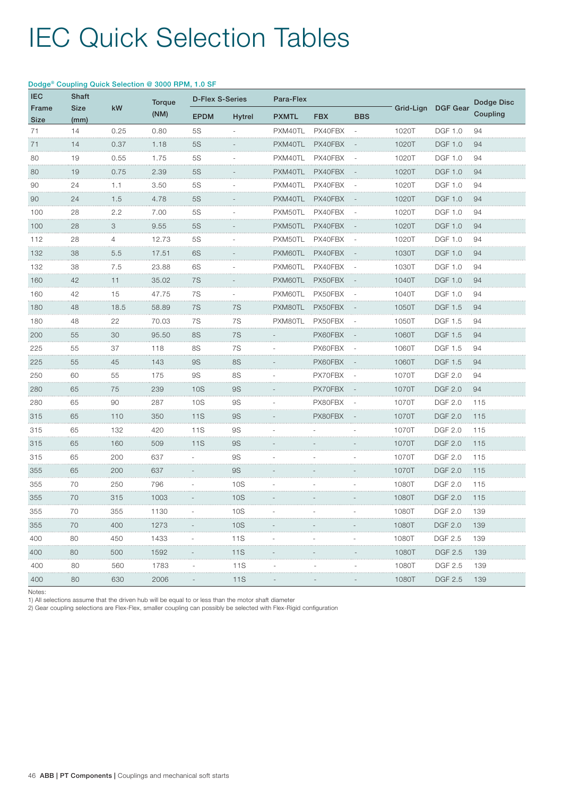|               |                     |      | Dodge® Coupling Quick Selection @ 3000 RPM, 1.0 SF |                        |               |              |            |            |       |                     |            |
|---------------|---------------------|------|----------------------------------------------------|------------------------|---------------|--------------|------------|------------|-------|---------------------|------------|
| <b>IEC</b>    | <b>Shaft</b>        |      | Torque                                             | <b>D-Flex S-Series</b> |               | Para-Flex    |            |            |       |                     | Dodge Disc |
| Frame<br>Size | <b>Size</b><br>(mm) | kW   | (NM)                                               | <b>EPDM</b>            | <b>Hytrel</b> | <b>PXMTL</b> | <b>FBX</b> | <b>BBS</b> |       | Grid-Lign DGF Gear  | Coupling   |
| 71            | 14                  | 0.25 | 0.80                                               | <b>5S</b>              |               | PXM40TL      | PX40FBX    |            | 1020T | <b>DGF 1.0</b>      | 94         |
| 71            | 14                  | 0.37 | 1.18                                               | <b>5S</b>              |               | PXM40TL      | PX40FBX    |            | 1020T | <b>DGF 1.0</b>      | 94         |
| 80            | 19                  | 0.55 | 1.75                                               | 5S                     |               | PXM40TL      | PX40FBX    |            | 1020T | <b>DGF 1.0</b>      | 94         |
| 80            | 19                  | 0.75 | 2.39                                               | <b>5S</b><br>.         |               | PXM40TL      | PX40FBX    |            | 1020T | DGF 1.0             | 94         |
| .<br>90       | 24                  | 1.1  | 3.50                                               | <b>5S</b>              |               | PXM40TL      | PX40FBX    |            | 1020T | <b>DGF 1.0</b>      | 94         |
| 90            | 24                  | 1.5  | 4.78                                               | 5S                     |               | PXM40TL      | PX40FBX    |            | 1020T | <b>DGF 1.0</b>      | 94         |
| 100           | 28                  | 2.2  | 7.00                                               | <b>5S</b>              |               | PXM50TL      | PX40FBX    |            | 1020T | <b>DGF 1.0</b>      | 94         |
| 100           | 28                  | 3    | 9.55                                               | <b>5S</b>              |               | PXM50TL      | PX40FBX    |            | 1020T | <b>DGF 1.0</b>      | 94         |
| 112           | 28                  | 4    | 12.73                                              | <b>5S</b>              |               | PXM50TL      | PX40FBX    |            | 1020T | <b>DGF 1.0</b>      | 94         |
| .<br>132      | 38                  | 5.5  | 17.51                                              | 6S                     |               | PXM60TL      | PX40FBX    |            | 1030T | <b>DGF 1.0</b>      | 94         |
| 132           | 38                  | 7.5  | 23.88                                              | 6S                     |               | PXM60TL      | PX40FBX    |            | 1030T | <b>DGF 1.0</b>      | 94         |
| 160           | 42                  | 11   | 35.02                                              | 7S                     |               | PXM60TL      | PX50FBX    |            | 1040T | <b>DGF 1.0</b>      | 94         |
| 160           | 42                  | 15   | 47.75                                              | 7S                     |               | PXM60TL      | PX50FBX    |            | 1040T | <b>DGF 1.0</b>      | 94         |
| 180           | 48                  | 18.5 | 58.89                                              | 7S                     | 7S            | PXM80TL      | PX50FBX    |            | 1050T | <b>DGF 1.5</b>      | 94         |
| 180           | 48                  | 22   | 70.03                                              | 7S                     | 7S            | PXM80TL      | PX50FBX    |            | 1050T | <b>DGF 1.5</b>      | 94         |
| 200           | 55                  | 30   | 95.50                                              | <b>8S</b>              | 7S            |              | PX60FBX    |            | 1060T | <b>DGF 1.5</b>      | 94         |
| 225           | 55                  | 37   | 118                                                | 8S                     | 7S            |              | PX60FBX    |            | 1060T | DGF 1.5             | 94         |
| .<br>225      | 55                  | 45   | 143                                                | <b>9S</b>              | <b>8S</b>     |              | PX60FBX    |            | 1060T | <b>DGF 1.5</b>      | 94         |
| 250           | 60                  | 55   | 175                                                | <b>9S</b>              | 8S            |              | PX70FBX    |            | 1070T | <b>DGF 2.0</b>      | 94         |
| .<br>280      | 65                  | 75   | 239                                                | <b>10S</b>             | <b>9S</b>     |              | PX70FBX    |            | 1070T | <b>DGF 2.0</b>      | 94         |
| 280           | 65                  | 90   | 287                                                | 10S                    | <b>9S</b>     |              | PX80FBX    |            | 1070T | <b>DGF 2.0</b>      | 115        |
| 315           | 65                  | 110  | 350                                                | <b>11S</b>             | <b>9S</b>     |              | PX80FBX    |            | 1070T | <b>DGF 2.0</b>      | 115        |
| 315           | 65                  | 132  | 420                                                | 11S                    | <b>9S</b>     |              |            |            | 1070T | <b>DGF 2.0</b>      | 115        |
| 315           | 65                  | 160  | 509                                                | <b>11S</b>             | <b>9S</b>     |              |            |            | 1070T | <b>DGF 2.0</b>      | 115        |
| 315           | 65                  | 200  | 637                                                |                        | <b>9S</b>     |              |            |            | 1070T | <b>DGF 2.0</b>      | 115        |
| 355           | 65                  | 200  | 637                                                |                        | <b>9S</b>     |              |            |            | 1070T | <b>DGF 2.0</b>      | 115        |
| 355           | 70                  | 250  | 796                                                |                        | 10S           |              |            |            | 1080T | <b>DGF 2.0</b>      | 115        |
| 355           | 70                  | 315  | 1003                                               |                        | 10S           |              |            |            | 1080T | <b>DGF 2.0</b>      | 115        |
| 355           | 70                  | 355  | 1130                                               |                        | 10S           |              |            |            | 1080T | <b>DGF 2.0</b>      | 139        |
| 355           | 70                  | 400  | 1273                                               |                        | 10S           |              |            |            | 1080T | <b>DGF 2.0</b>      | 139        |
| 400           | 80                  | 450  | 1433<br>.                                          |                        | 11S           |              |            |            | 1080T | <b>DGF 2.5</b><br>. | 139        |
| .<br>400      | 80                  | 500  | 1592                                               |                        | 11S           |              |            |            | 1080T | <b>DGF 2.5</b>      | 139        |
| 400           | 80                  | 560  | 1783                                               |                        | 11S           |              |            |            | 1080T | <b>DGF 2.5</b>      | 139        |
| 400           | 80                  | 630  | .<br>2006                                          |                        | .<br>11S      |              |            |            | 1080T | <b>DGF 2.5</b>      | 139        |

Notes:

1) All selections assume that the driven hub will be equal to or less than the motor shaft diameter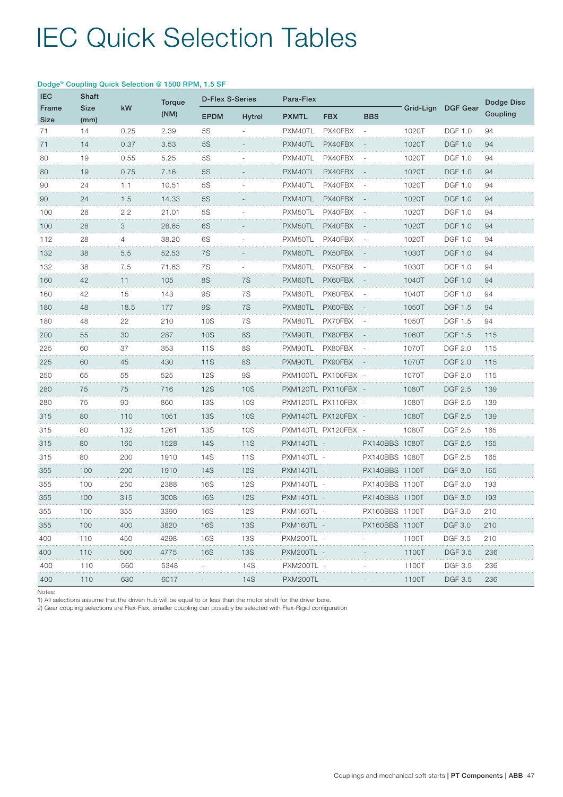| <b>IEC</b>    | Dodge® Coupling Quick Selection @ 1500 RPM, 1.5 SF<br>Shaft |      |                       | <b>D-Flex S-Series</b> |               | Para-Flex    |                   |                |           |                 | Dodge Disc |
|---------------|-------------------------------------------------------------|------|-----------------------|------------------------|---------------|--------------|-------------------|----------------|-----------|-----------------|------------|
| Frame<br>Size | <b>Size</b><br>(mm)                                         | kW   | <b>Torque</b><br>(NM) | <b>EPDM</b>            | <b>Hytrel</b> | <b>PXMTL</b> | <b>FBX</b>        | <b>BBS</b>     | Grid-Lign | <b>DGF Gear</b> | Coupling   |
| 71            | 14                                                          | 0.25 | 2.39                  | 5S                     |               | PXM40TL      | PX40FBX           |                | 1020T     | <b>DGF 1.0</b>  | 94         |
| 71            | 14                                                          | 0.37 | 3.53                  | <b>5S</b>              |               | PXM40TL      | PX40FBX           |                | 1020T     | <b>DGF 1.0</b>  | 94         |
| 80            | 19                                                          | 0.55 | 5.25                  | <b>5S</b>              |               | PXM40TL      | PX40FBX           |                | 1020T     | <b>DGF 1.0</b>  | 94         |
| 80            | 19                                                          | 0.75 | 7.16                  | <b>5S</b>              |               | PXM40TL      | PX40FBX           |                | 1020T     | <b>DGF 1.0</b>  | 94         |
| 90            | 24                                                          | 1.1  | 10.51                 | 5S                     |               | PXM40TL      | PX40FBX           |                | 1020T     | <b>DGF 1.0</b>  | 94         |
| <br>90        | .<br>24                                                     | 1.5  | 14.33                 | .<br><b>5S</b>         |               | PXM40TL      | PX40FBX           |                | 1020T     | <b>DGF 1.0</b>  | 94         |
| 100           | 28                                                          | 2.2  | 21.01                 | 5S                     |               | PXM50TL      | PX40FBX           |                | 1020T     | <b>DGF 1.0</b>  | 94         |
| 100           | 28                                                          | 3    | 28.65                 | 6S                     |               | PXM50TL      | PX40FBX           |                | 1020T     | <b>DGF 1.0</b>  | 94         |
| 112           | 28                                                          | 4    | 38.20                 | 6S                     |               | PXM50TL      | PX40FBX           |                | 1020T     | <b>DGF 1.0</b>  | 94         |
| 132<br>.      | 38                                                          | 5.5  | 52.53                 | 7S<br>.                |               | PXM60TL      | PX50FBX           |                | 1030T     | <b>DGF 1.0</b>  | 94         |
| 132           | 38                                                          | 7.5  | 71.63                 | 7S                     |               | PXM60TL      | PX50FBX           |                | 1030T     | <b>DGF 1.0</b>  | 94         |
| 160           | 42                                                          | 11   | 105                   | 8S                     | 7S            | PXM60TL      | PX60FBX           |                | 1040T     | <b>DGF 1.0</b>  | 94         |
| 160           | 42                                                          | 15   | 143                   | <b>9S</b>              | 7S            | PXM60TL      | PX60FBX           |                | 1040T     | <b>DGF 1.0</b>  | 94         |
| 180           | 48                                                          | 18.5 | 177                   | <b>9S</b>              | 7S            | PXM80TL      | PX60FBX           |                | 1050T     | <b>DGF 1.5</b>  | 94         |
| 180           | 48                                                          | 22   | 210                   | 10S                    | 7S            | PXM80TL      | PX70FBX           |                | 1050T     | <b>DGF 1.5</b>  | 94         |
| 200           | 55                                                          | 30   | 287                   | 10S                    | <b>8S</b>     | PXM90TL      | PX80FBX           |                | 1060T     | <b>DGF 1.5</b>  | 115        |
| 225           | 60                                                          | 37   | 353                   | 11S                    | 8S            | PXM90TL      | PX80FBX           |                | 1070T     | <b>DGF 2.0</b>  | 115        |
| 225           | 60                                                          | 45   | 430                   | <b>11S</b>             | <b>8S</b>     | PXM90TL      | PX90FBX           |                | 1070T     | <b>DGF 2.0</b>  | 115        |
| 250           | 65                                                          | 55   | 525                   | <b>12S</b>             | <b>9S</b>     |              | PXM100TL PX100FBX |                | 1070T     | <b>DGF 2.0</b>  | 115        |
| 280           | 75                                                          | 75   | 716                   | <b>12S</b>             | 10S           |              | PXM120TL PX110FBX |                | 1080T     | <b>DGF 2.5</b>  | 139        |
| 280           | 75                                                          | 90   | 860                   | 13S                    | 10S           |              | PXM120TL PX110FBX |                | 1080T     | DGF 2.5         | 139        |
| 315           | 80                                                          | 110  | 1051                  | <b>13S</b>             | <b>10S</b>    |              | PXM140TL PX120FBX |                | 1080T     | <b>DGF 2.5</b>  | 139        |
| 315<br>.      | 80                                                          | 132  | 1261                  | 13S                    | 10S           |              | PXM140TL PX120FBX |                | 1080T     | <b>DGF 2.5</b>  | 165        |
| 315           | 80                                                          | 160  | 1528                  | <b>14S</b>             | <b>11S</b>    | PXM140TL -   |                   | PX140BBS 1080T |           | <b>DGF 2.5</b>  | 165        |
| 315           | 80                                                          | 200  | 1910                  | 14S                    | 11S           | PXM140TL -   |                   | PX140BBS 1080T |           | <b>DGF 2.5</b>  | 165        |
| 355           | 100                                                         | 200  | 1910                  | 14S                    | <b>12S</b>    | PXM140TL     |                   | PX140BBS 1100T |           | <b>DGF 3.0</b>  | 165        |
| 355           | 100                                                         | 250  | 2388                  | 16S                    | <b>12S</b>    | PXM140TI     |                   | PX140BBS 1100T |           | <b>DGF 3.0</b>  | 193        |
| 355           | 100                                                         | 315  | 3008                  | 16S                    | 12S           | PXM140TL     |                   | PX140BBS 1100T |           | DGF 3.0         | 193        |
| 355           | 100                                                         | 355  | 3390                  | <b>16S</b>             | <b>12S</b>    | PXM160TL-    |                   | PX160BBS 1100T |           | DGF 3.0         | 210        |
| 355           | 100                                                         | 400  | 3820                  | <b>16S</b>             | <b>13S</b>    | PXM160TL     |                   | PX160BBS 1100T |           | <b>DGF 3.0</b>  | 210        |
| 400           | 110                                                         | 450  | 4298                  | 16S                    | 13S           | PXM200TL     |                   |                | 1100T     | DGF 3.5         | 210        |
| 400           | 110                                                         | 500  | 4775                  | <b>16S</b>             | <b>13S</b>    | PXM200TL     |                   |                | 1100T     | <b>DGF 3.5</b>  | 236        |
| 400           | 110                                                         | 560  | 5348<br>.             |                        | 14S           | PXM200TL     |                   |                | 1100T     | DGF 3.5         | 236        |
| 400           | 110                                                         | 630  | 6017                  |                        | 14S           | PXM200TL -   |                   |                | 1100T     | <b>DGF 3.5</b>  | 236        |

### Dodge® Coupling Quick Selection @ 1500 RPM, 1.5 SF

Notes:

1) All selections assume that the driven hub will be equal to or less than the motor shaft for the driver bore.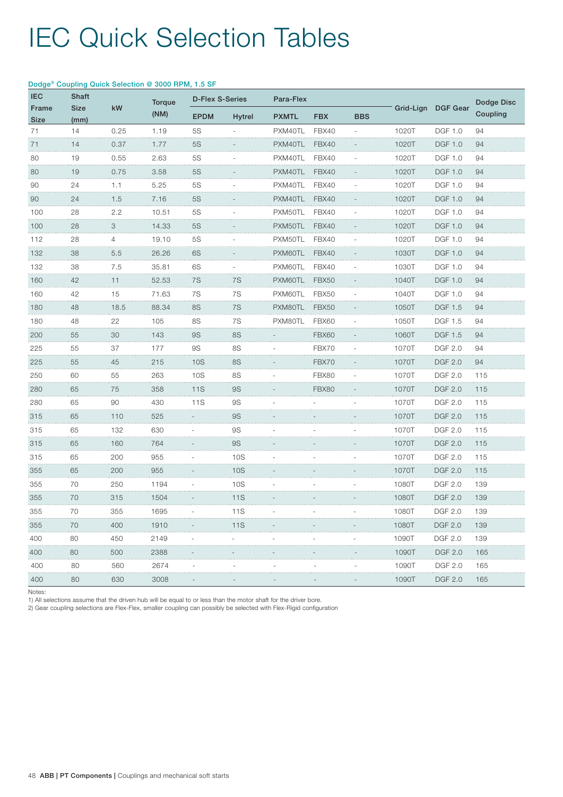| <b>IEC</b>    | <b>Shaft</b><br><b>Size</b><br>(mm) |                | Dodge® Coupling Quick Selection @ 3000 RPM, 1.5 SF |                        |                |              |              |            |       | Grid-Lign DGF Gear | Dodge Disc |
|---------------|-------------------------------------|----------------|----------------------------------------------------|------------------------|----------------|--------------|--------------|------------|-------|--------------------|------------|
| Frame<br>Size |                                     | kW             | <b>Torque</b>                                      | <b>D-Flex S-Series</b> |                | Para-Flex    |              |            |       |                    |            |
|               |                                     |                | (NM)                                               | <b>EPDM</b>            | <b>Hytrel</b>  | <b>PXMTL</b> | <b>FBX</b>   | <b>BBS</b> |       |                    | Coupling   |
| 71            | 14                                  | 0.25           | 1.19                                               | 5S                     |                | PXM40TL      | FBX40        |            | 1020T | <b>DGF 1.0</b>     | 94         |
| 71            | 14                                  | 0.37           | 1.77                                               | 5S                     |                | PXM40TL      | FBX40        |            | 1020T | <b>DGF 1.0</b>     | 94         |
| 80            | 19                                  | 0.55           | 2.63                                               | 5S                     |                | PXM40TL      | FBX40        |            | 1020T | <b>DGF 1.0</b>     | 94         |
| 80            | 19                                  | 0.75           | 3.58                                               | <b>5S</b>              |                | PXM40TL      | FBX40        |            | 1020T | <b>DGF 1.0</b>     | 94         |
| 90            | 24                                  | 1.1            | 5.25                                               | 5S                     |                | PXM40TL      | FBX40        |            | 1020T | <b>DGF 1.0</b>     | 94         |
| 90            | 24                                  | 1.5            | 7.16                                               | <b>5S</b>              |                | PXM40TL      | FBX40        |            | 1020T | <b>DGF 1.0</b>     | 94         |
| 100<br>.      | 28                                  | 2.2            | 10.51                                              | <b>5S</b>              |                | PXM50TL      | FBX40        |            | 1020T | <b>DGF 1.0</b>     | 94         |
| 100           | 28                                  | 3              | 14.33                                              | <b>5S</b>              |                | PXM50TL      | FBX40        |            | 1020T | <b>DGF 1.0</b>     | 94         |
| 112<br>.      | 28                                  | $\overline{4}$ | 19.10                                              | 5S                     |                | PXM50TL      | FBX40        |            | 1020T | <b>DGF 1.0</b>     | 94         |
| 132           | 38                                  | 5.5            | 26.26                                              | 6S                     |                | PXM60TL      | FBX40        |            | 1030T | <b>DGF 1.0</b>     | 94         |
| 132           | 38                                  | 7.5            | 35.81                                              | 6S                     |                | PXM60TL      | FBX40        |            | 1030T | <b>DGF 1.0</b>     | 94         |
| 160           | 42                                  | 11             | 52.53                                              | 7S                     | 7S             | PXM60TL      | FBX50        |            | 1040T | DGF 1.0            | 94         |
| 160           | 42                                  | 15             | 71.63                                              | 7S                     | 7S             | PXM60TL      | FBX50        |            | 1040T | <b>DGF 1.0</b>     | 94         |
| 180           | 48                                  | 18.5           | 88.34                                              | <b>8S</b>              | 7S<br>$\cdots$ | PXM80TL      | FBX50        |            | 1050T | <b>DGF 1.5</b>     | 94         |
| 180           | 48                                  | 22             | 105                                                | <b>8S</b>              | 7S             | PXM80TL      | FBX60        |            | 1050T | DGF 1.5            | 94         |
| 200           | 55                                  | 30             | 143                                                | <b>9S</b>              | <b>8S</b>      |              | <b>FBX60</b> |            | 1060T | <b>DGF 1.5</b>     | 94         |
| 225           | 55                                  | 37             | 177                                                | <b>9S</b>              | <b>8S</b>      |              | FBX70        |            | 1070T | <b>DGF 2.0</b>     | 94         |
| <br>225       | 55                                  | 45             | 215                                                | 10S                    | <b>8S</b>      |              | FBX70        |            | 1070T | <b>DGF 2.0</b>     | 94         |
| 250<br>.      | 60                                  | 55             | 263                                                | 10S                    | 8S             |              | FBX80        |            | 1070T | <b>DGF 2.0</b>     | 115        |
| 280           | 65                                  | 75             | 358                                                | <b>11S</b>             | <b>9S</b>      |              | FBX80        |            | 1070T | <b>DGF 2.0</b>     | 115        |
| 280           | 65                                  | 90             | 430                                                | 11S                    | <b>9S</b>      |              |              |            | 1070T | <b>DGF 2.0</b>     | 115        |
| 315           | 65                                  | 110            | 525                                                |                        | <b>9S</b>      |              |              |            | 1070T | <b>DGF 2.0</b>     | 115        |
| 315           | 65                                  | 132            | 630                                                |                        | <b>9S</b>      |              |              |            | 1070T | <b>DGF 2.0</b>     | 115        |
| 315           | 65                                  | 160            | 764                                                |                        | <b>9S</b>      |              |              |            | 1070T | <b>DGF 2.0</b>     | 115        |
| 315           | 65                                  | 200            | 955                                                |                        | 10S            |              |              |            | 1070T | <b>DGF 2.0</b>     | 115        |
| 355           | 65                                  | 200            | 955                                                |                        | <b>10S</b>     |              |              |            | 1070T | <b>DGF 2.0</b>     | 115        |
| 355           | 70                                  | 250            | 1194                                               |                        | 10S            |              |              |            | 1080T | <b>DGF 2.0</b>     | 139        |
| 355           | 70                                  | 315            | 1504                                               |                        | <b>11S</b>     |              |              |            | 1080T | <b>DGF 2.0</b>     | 139        |
| 355           | 70                                  | 355            | 1695                                               |                        | 11S            |              |              |            | 1080T | <b>DGF 2.0</b>     | 139        |
| 355           | 70                                  | 400            | 1910                                               |                        | 11S            |              |              |            | 1080T | <b>DGF 2.0</b>     | 139        |
| 400           | 80                                  | 450            | 2149                                               |                        |                |              |              |            | 1090T | <b>DGF 2.0</b>     | 139        |
| 400           | 80                                  | 500            | 2388                                               |                        |                |              |              |            | 1090T | <b>DGF 2.0</b>     | 165        |
| 400           | 80                                  | 560            | 2674                                               |                        |                |              |              |            | 1090T | <b>DGF 2.0</b>     | 165        |
| 400           | 80                                  | 630            | 3008                                               |                        |                |              |              |            | 1090T | <b>DGF 2.0</b>     | 165        |

#### Dodge® Coupling Quick Selection @ 3000 RPM, 1.5 SF

Notes:

1) All selections assume that the driven hub will be equal to or less than the motor shaft for the driver bore.